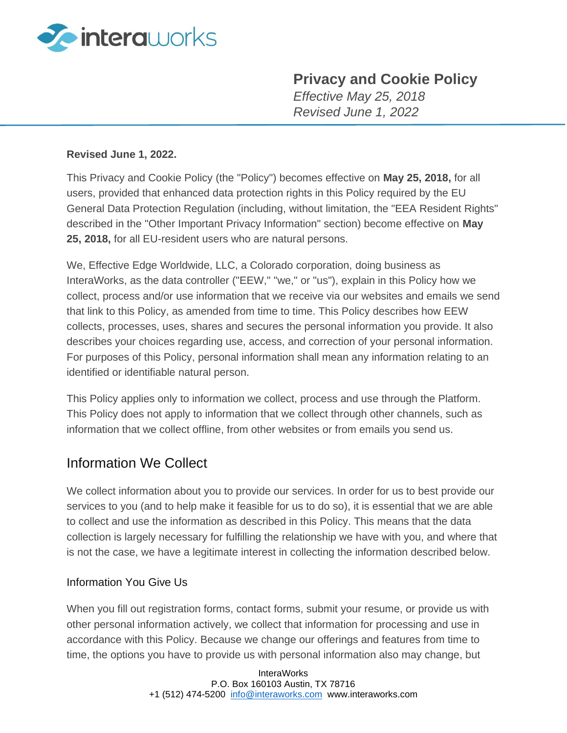

# **Privacy and Cookie Policy**

*Effective May 25, 2018 Revised June 1, 2022*

#### **Revised June 1, 2022.**

This Privacy and Cookie Policy (the "Policy") becomes effective on **May 25, 2018,** for all users, provided that enhanced data protection rights in this Policy required by the EU General Data Protection Regulation (including, without limitation, the "EEA Resident Rights" described in the "Other Important Privacy Information" section) become effective on **May 25, 2018,** for all EU-resident users who are natural persons.

We, Effective Edge Worldwide, LLC, a Colorado corporation, doing business as InteraWorks, as the data controller ("EEW," "we," or "us"), explain in this Policy how we collect, process and/or use information that we receive via our websites and emails we send that link to this Policy, as amended from time to time. This Policy describes how EEW collects, processes, uses, shares and secures the personal information you provide. It also describes your choices regarding use, access, and correction of your personal information. For purposes of this Policy, personal information shall mean any information relating to an identified or identifiable natural person.

This Policy applies only to information we collect, process and use through the Platform. This Policy does not apply to information that we collect through other channels, such as information that we collect offline, from other websites or from emails you send us.

## Information We Collect

We collect information about you to provide our services. In order for us to best provide our services to you (and to help make it feasible for us to do so), it is essential that we are able to collect and use the information as described in this Policy. This means that the data collection is largely necessary for fulfilling the relationship we have with you, and where that is not the case, we have a legitimate interest in collecting the information described below.

#### Information You Give Us

When you fill out registration forms, contact forms, submit your resume, or provide us with other personal information actively, we collect that information for processing and use in accordance with this Policy. Because we change our offerings and features from time to time, the options you have to provide us with personal information also may change, but

> InteraWorks P.O. Box 160103 Austin, TX 78716 +1 (512) 474-5200 [info@interaworks.com](mailto:info@interaworks.com) www.interaworks.com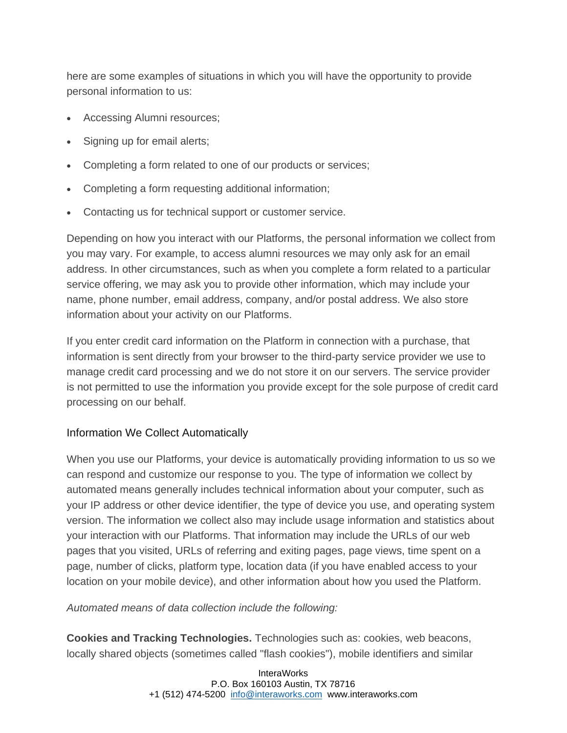here are some examples of situations in which you will have the opportunity to provide personal information to us:

- Accessing Alumni resources;
- Signing up for email alerts;
- Completing a form related to one of our products or services;
- Completing a form requesting additional information;
- Contacting us for technical support or customer service.

Depending on how you interact with our Platforms, the personal information we collect from you may vary. For example, to access alumni resources we may only ask for an email address. In other circumstances, such as when you complete a form related to a particular service offering, we may ask you to provide other information, which may include your name, phone number, email address, company, and/or postal address. We also store information about your activity on our Platforms.

If you enter credit card information on the Platform in connection with a purchase, that information is sent directly from your browser to the third-party service provider we use to manage credit card processing and we do not store it on our servers. The service provider is not permitted to use the information you provide except for the sole purpose of credit card processing on our behalf.

## Information We Collect Automatically

When you use our Platforms, your device is automatically providing information to us so we can respond and customize our response to you. The type of information we collect by automated means generally includes technical information about your computer, such as your IP address or other device identifier, the type of device you use, and operating system version. The information we collect also may include usage information and statistics about your interaction with our Platforms. That information may include the URLs of our web pages that you visited, URLs of referring and exiting pages, page views, time spent on a page, number of clicks, platform type, location data (if you have enabled access to your location on your mobile device), and other information about how you used the Platform.

#### *Automated means of data collection include the following:*

**Cookies and Tracking Technologies.** Technologies such as: cookies, web beacons, locally shared objects (sometimes called "flash cookies"), mobile identifiers and similar

> InteraWorks P.O. Box 160103 Austin, TX 78716 +1 (512) 474-5200 [info@interaworks.com](mailto:info@interaworks.com) www.interaworks.com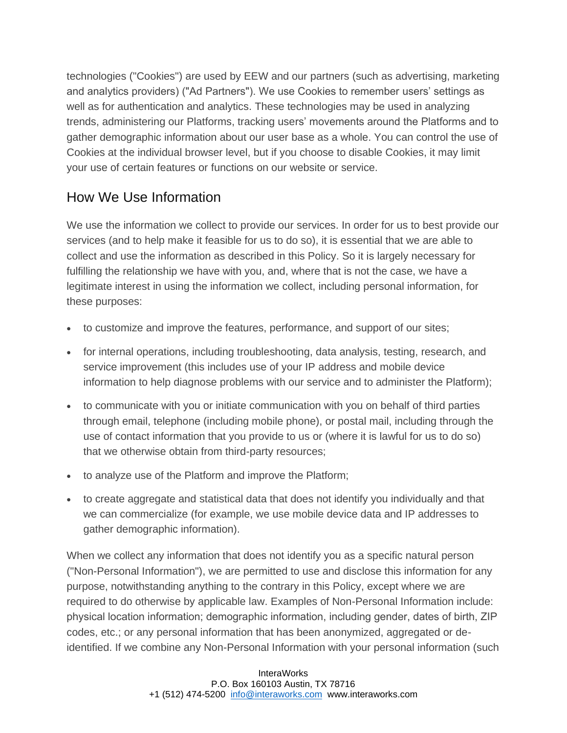technologies ("Cookies") are used by EEW and our partners (such as advertising, marketing and analytics providers) ("Ad Partners"). We use Cookies to remember users' settings as well as for authentication and analytics. These technologies may be used in analyzing trends, administering our Platforms, tracking users' movements around the Platforms and to gather demographic information about our user base as a whole. You can control the use of Cookies at the individual browser level, but if you choose to disable Cookies, it may limit your use of certain features or functions on our website or service.

# How We Use Information

We use the information we collect to provide our services. In order for us to best provide our services (and to help make it feasible for us to do so), it is essential that we are able to collect and use the information as described in this Policy. So it is largely necessary for fulfilling the relationship we have with you, and, where that is not the case, we have a legitimate interest in using the information we collect, including personal information, for these purposes:

- to customize and improve the features, performance, and support of our sites;
- for internal operations, including troubleshooting, data analysis, testing, research, and service improvement (this includes use of your IP address and mobile device information to help diagnose problems with our service and to administer the Platform);
- to communicate with you or initiate communication with you on behalf of third parties through email, telephone (including mobile phone), or postal mail, including through the use of contact information that you provide to us or (where it is lawful for us to do so) that we otherwise obtain from third-party resources;
- to analyze use of the Platform and improve the Platform;
- to create aggregate and statistical data that does not identify you individually and that we can commercialize (for example, we use mobile device data and IP addresses to gather demographic information).

When we collect any information that does not identify you as a specific natural person ("Non-Personal Information"), we are permitted to use and disclose this information for any purpose, notwithstanding anything to the contrary in this Policy, except where we are required to do otherwise by applicable law. Examples of Non-Personal Information include: physical location information; demographic information, including gender, dates of birth, ZIP codes, etc.; or any personal information that has been anonymized, aggregated or deidentified. If we combine any Non-Personal Information with your personal information (such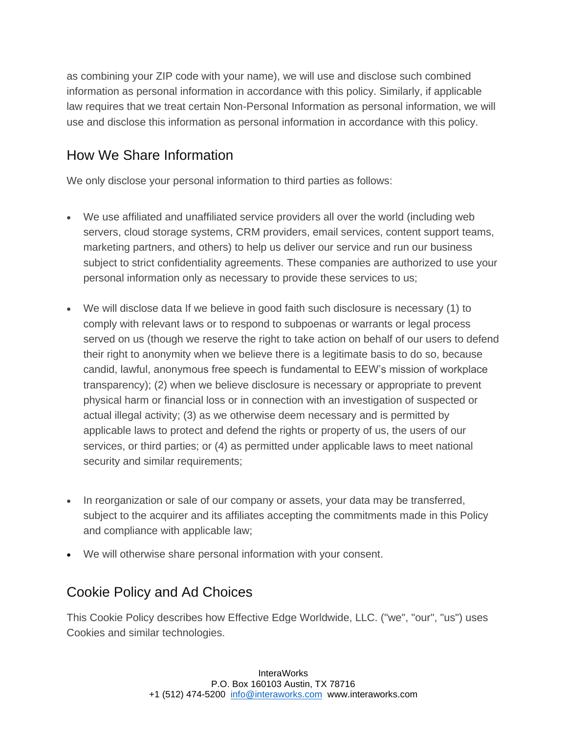as combining your ZIP code with your name), we will use and disclose such combined information as personal information in accordance with this policy. Similarly, if applicable law requires that we treat certain Non-Personal Information as personal information, we will use and disclose this information as personal information in accordance with this policy.

# How We Share Information

We only disclose your personal information to third parties as follows:

- We use affiliated and unaffiliated service providers all over the world (including web servers, cloud storage systems, CRM providers, email services, content support teams, marketing partners, and others) to help us deliver our service and run our business subject to strict confidentiality agreements. These companies are authorized to use your personal information only as necessary to provide these services to us;
- We will disclose data If we believe in good faith such disclosure is necessary (1) to comply with relevant laws or to respond to subpoenas or warrants or legal process served on us (though we reserve the right to take action on behalf of our users to defend their right to anonymity when we believe there is a legitimate basis to do so, because candid, lawful, anonymous free speech is fundamental to EEW's mission of workplace transparency); (2) when we believe disclosure is necessary or appropriate to prevent physical harm or financial loss or in connection with an investigation of suspected or actual illegal activity; (3) as we otherwise deem necessary and is permitted by applicable laws to protect and defend the rights or property of us, the users of our services, or third parties; or (4) as permitted under applicable laws to meet national security and similar requirements;
- In reorganization or sale of our company or assets, your data may be transferred, subject to the acquirer and its affiliates accepting the commitments made in this Policy and compliance with applicable law;
- We will otherwise share personal information with your consent.

# Cookie Policy and Ad Choices

This Cookie Policy describes how Effective Edge Worldwide, LLC. ("we", "our", "us") uses Cookies and similar technologies.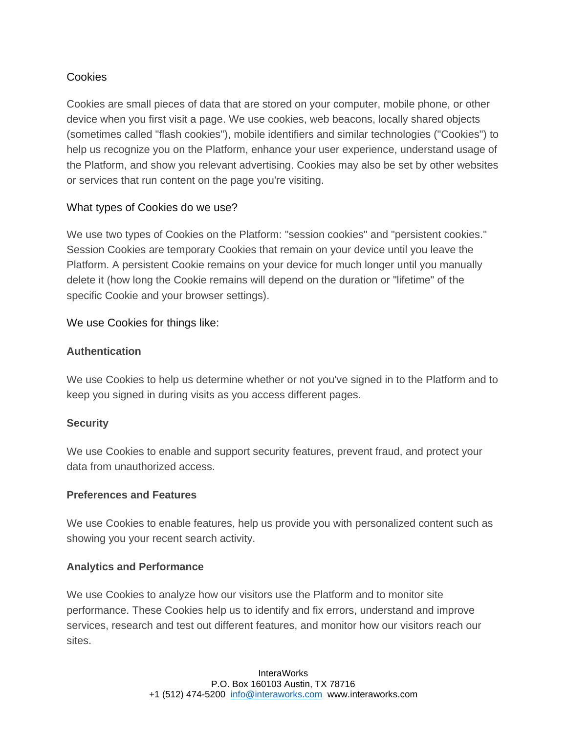### **Cookies**

Cookies are small pieces of data that are stored on your computer, mobile phone, or other device when you first visit a page. We use cookies, web beacons, locally shared objects (sometimes called "flash cookies"), mobile identifiers and similar technologies ("Cookies") to help us recognize you on the Platform, enhance your user experience, understand usage of the Platform, and show you relevant advertising. Cookies may also be set by other websites or services that run content on the page you're visiting.

### What types of Cookies do we use?

We use two types of Cookies on the Platform: "session cookies" and "persistent cookies." Session Cookies are temporary Cookies that remain on your device until you leave the Platform. A persistent Cookie remains on your device for much longer until you manually delete it (how long the Cookie remains will depend on the duration or "lifetime" of the specific Cookie and your browser settings).

#### We use Cookies for things like:

#### **Authentication**

We use Cookies to help us determine whether or not you've signed in to the Platform and to keep you signed in during visits as you access different pages.

#### **Security**

We use Cookies to enable and support security features, prevent fraud, and protect your data from unauthorized access.

#### **Preferences and Features**

We use Cookies to enable features, help us provide you with personalized content such as showing you your recent search activity.

#### **Analytics and Performance**

We use Cookies to analyze how our visitors use the Platform and to monitor site performance. These Cookies help us to identify and fix errors, understand and improve services, research and test out different features, and monitor how our visitors reach our sites.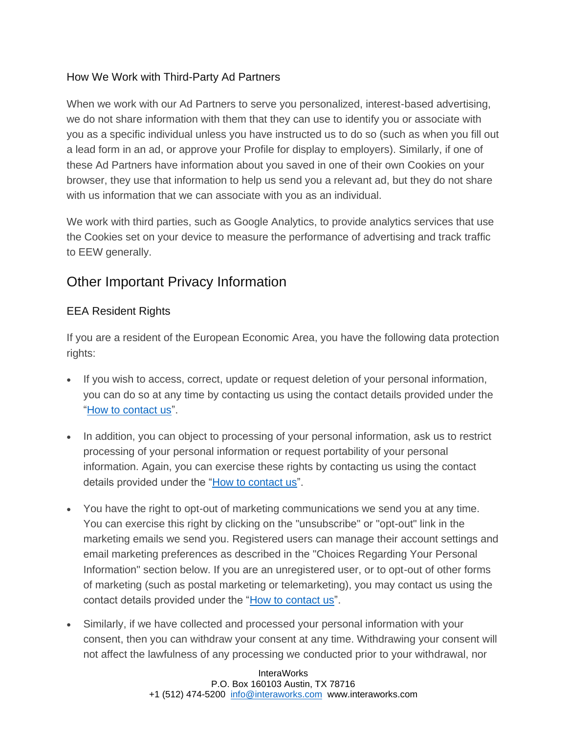## How We Work with Third-Party Ad Partners

When we work with our Ad Partners to serve you personalized, interest-based advertising, we do not share information with them that they can use to identify you or associate with you as a specific individual unless you have instructed us to do so (such as when you fill out a lead form in an ad, or approve your Profile for display to employers). Similarly, if one of these Ad Partners have information about you saved in one of their own Cookies on your browser, they use that information to help us send you a relevant ad, but they do not share with us information that we can associate with you as an individual.

We work with third parties, such as Google Analytics, to provide analytics services that use the Cookies set on your device to measure the performance of advertising and track traffic to EEW generally.

# Other Important Privacy Information

## EEA Resident Rights

If you are a resident of the European Economic Area, you have the following data protection rights:

- If you wish to access, correct, update or request deletion of your personal information, you can do so at any time by contacting us using the contact details provided under the ["How to contact us"](http://interaworks.com/contact).
- In addition, you can object to processing of your personal information, ask us to restrict processing of your personal information or request portability of your personal information. Again, you can exercise these rights by contacting us using the contact details provided under the ["How to contact us"](http://interaworks.com/contact).
- You have the right to opt-out of marketing communications we send you at any time. You can exercise this right by clicking on the "unsubscribe" or "opt-out" link in the marketing emails we send you. Registered users can manage their account settings and email marketing preferences as described in the "Choices Regarding Your Personal Information" section below. If you are an unregistered user, or to opt-out of other forms of marketing (such as postal marketing or telemarketing), you may contact us using the contact details provided under the ["How to contact us"](http://interaworks.com/contact).
- Similarly, if we have collected and processed your personal information with your consent, then you can withdraw your consent at any time. Withdrawing your consent will not affect the lawfulness of any processing we conducted prior to your withdrawal, nor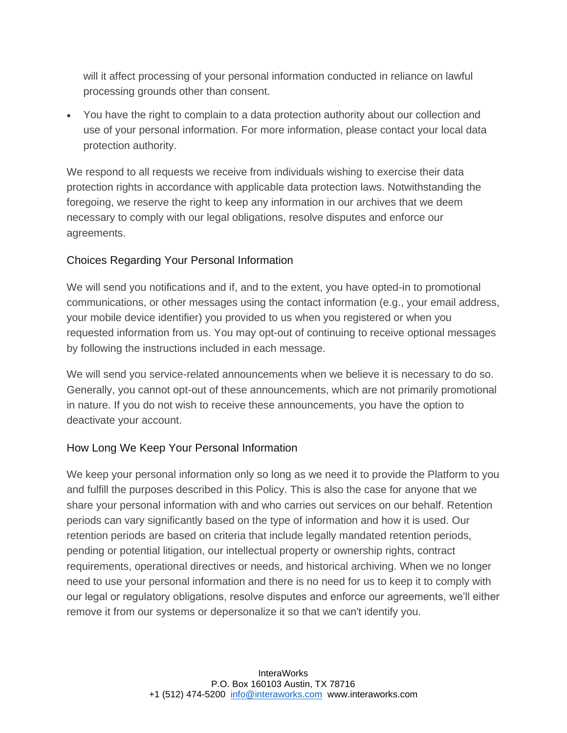will it affect processing of your personal information conducted in reliance on lawful processing grounds other than consent.

• You have the right to complain to a data protection authority about our collection and use of your personal information. For more information, please contact your local data protection authority.

We respond to all requests we receive from individuals wishing to exercise their data protection rights in accordance with applicable data protection laws. Notwithstanding the foregoing, we reserve the right to keep any information in our archives that we deem necessary to comply with our legal obligations, resolve disputes and enforce our agreements.

#### Choices Regarding Your Personal Information

We will send you notifications and if, and to the extent, you have opted-in to promotional communications, or other messages using the contact information (e.g., your email address, your mobile device identifier) you provided to us when you registered or when you requested information from us. You may opt-out of continuing to receive optional messages by following the instructions included in each message.

We will send you service-related announcements when we believe it is necessary to do so. Generally, you cannot opt-out of these announcements, which are not primarily promotional in nature. If you do not wish to receive these announcements, you have the option to deactivate your account.

## How Long We Keep Your Personal Information

We keep your personal information only so long as we need it to provide the Platform to you and fulfill the purposes described in this Policy. This is also the case for anyone that we share your personal information with and who carries out services on our behalf. Retention periods can vary significantly based on the type of information and how it is used. Our retention periods are based on criteria that include legally mandated retention periods, pending or potential litigation, our intellectual property or ownership rights, contract requirements, operational directives or needs, and historical archiving. When we no longer need to use your personal information and there is no need for us to keep it to comply with our legal or regulatory obligations, resolve disputes and enforce our agreements, we'll either remove it from our systems or depersonalize it so that we can't identify you.